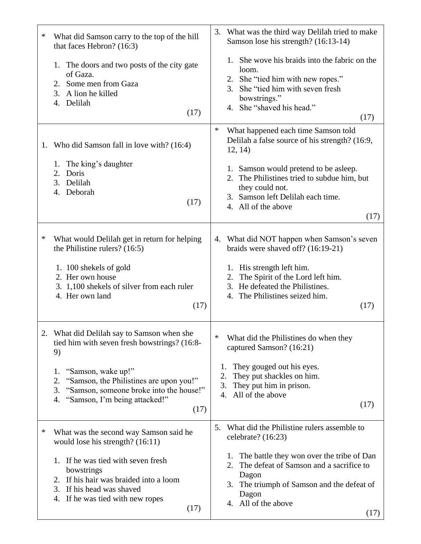| ∗  | What did Samson carry to the top of the hill<br>that faces Hebron? (16:3)<br>1. The doors and two posts of the city gate<br>of Gaza.<br>2. Some men from Gaza<br>3. A lion he killed<br>4. Delilah<br>(17)<br>1. Who did Samson fall in love with? (16:4)<br>1. The king's daughter | What was the third way Delilah tried to make<br>3.<br>Samson lose his strength? (16:13-14)<br>1. She wove his braids into the fabric on the<br>loom.<br>2. She "tied him with new ropes."<br>She "tied him with seven fresh<br>3.<br>bowstrings."<br>4. She "shaved his head."<br>(17)<br>$\ast$<br>What happened each time Samson told<br>Delilah a false source of his strength? (16:9,<br>12, 14) |
|----|-------------------------------------------------------------------------------------------------------------------------------------------------------------------------------------------------------------------------------------------------------------------------------------|------------------------------------------------------------------------------------------------------------------------------------------------------------------------------------------------------------------------------------------------------------------------------------------------------------------------------------------------------------------------------------------------------|
|    | 2.<br>Doris<br>3. Delilah<br>Deborah<br>4.<br>(17)                                                                                                                                                                                                                                  | 1. Samson would pretend to be asleep.<br>The Philistines tried to subdue him, but<br>they could not.<br>3. Samson left Delilah each time.<br>4. All of the above<br>(17)                                                                                                                                                                                                                             |
| ∗  | What would Delilah get in return for helping<br>the Philistine rulers? $(16:5)$<br>1. 100 shekels of gold<br>2. Her own house<br>3. 1,100 shekels of silver from each ruler<br>4. Her own land<br>(17)                                                                              | 4. What did NOT happen when Samson's seven<br>braids were shaved off? (16:19-21)<br>1. His strength left him.<br>The Spirit of the Lord left him.<br>2.<br>3. He defeated the Philistines.<br>4. The Philistines seized him.<br>(17)                                                                                                                                                                 |
| 2. | What did Delilah say to Samson when she<br>tied him with seven fresh bowstrings? (16:8-<br>9)<br>"Samson, wake up!"<br>1.<br>2.<br>"Samson, the Philistines are upon you!"<br>"Samson, someone broke into the house!"<br>3.<br>"Samson, I'm being attacked!"<br>4.<br>(17)          | ∗<br>What did the Philistines do when they<br>captured Samson? (16:21)<br>They gouged out his eyes.<br>1.<br>2.<br>They put shackles on him.<br>They put him in prison.<br>3.<br>All of the above<br>4.<br>(17)                                                                                                                                                                                      |
| ∗  | What was the second way Samson said he<br>would lose his strength? $(16:11)$<br>1. If he was tied with seven fresh<br>bowstrings<br>If his hair was braided into a loom<br>2.<br>If his head was shaved<br>3.<br>If he was tied with new ropes<br>4.<br>(17)                        | What did the Philistine rulers assemble to<br>5.<br>celebrate? (16:23)<br>The battle they won over the tribe of Dan<br>1.<br>The defeat of Samson and a sacrifice to<br>2.<br>Dagon<br>The triumph of Samson and the defeat of<br>3.<br>Dagon<br>4. All of the above<br>(17)                                                                                                                         |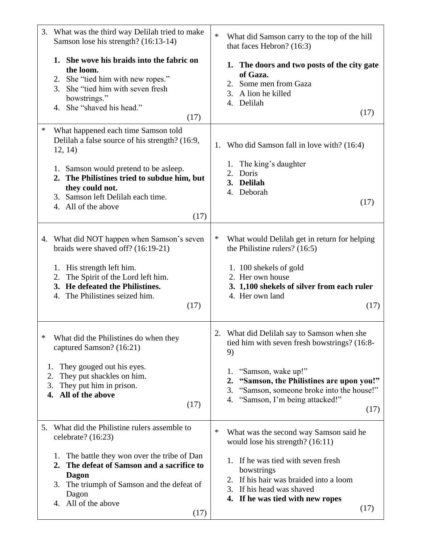| 3.                   | What was the third way Delilah tried to make<br>Samson lose his strength? (16:13-14)                                                                                                                      | $\ast$ | What did Samson carry to the top of the hill<br>that faces Hebron? (16:3)                                                                                                 |
|----------------------|-----------------------------------------------------------------------------------------------------------------------------------------------------------------------------------------------------------|--------|---------------------------------------------------------------------------------------------------------------------------------------------------------------------------|
|                      | 1. She wove his braids into the fabric on<br>the loom.<br>2. She "tied him with new ropes."<br>She "tied him with seven fresh<br>3.<br>bowstrings."<br>4. She "shaved his head."<br>(17)                  |        | 1. The doors and two posts of the city gate<br>of Gaza.<br>2. Some men from Gaza<br>3. A lion he killed<br>4. Delilah<br>(17)                                             |
| $\ast$               | What happened each time Samson told<br>Delilah a false source of his strength? (16:9,<br>12, 14)                                                                                                          |        | 1. Who did Samson fall in love with? (16:4)                                                                                                                               |
|                      | 1. Samson would pretend to be asleep.<br>2. The Philistines tried to subdue him, but<br>they could not.<br>3. Samson left Delilah each time.<br>4. All of the above<br>(17)                               |        | The king's daughter<br>1.<br>2.<br>Doris<br>3. Delilah<br>4. Deborah<br>(17)                                                                                              |
|                      | 4. What did NOT happen when Samson's seven<br>braids were shaved off? (16:19-21)                                                                                                                          | ∗      | What would Delilah get in return for helping<br>the Philistine rulers? $(16:5)$                                                                                           |
|                      | His strength left him.<br>1.<br>The Spirit of the Lord left him.<br>2.<br>3. He defeated the Philistines.<br>4. The Philistines seized him.<br>(17)                                                       |        | 1. 100 shekels of gold<br>2. Her own house<br>3. 1,100 shekels of silver from each ruler<br>4. Her own land<br>(17)                                                       |
| ∗                    | What did the Philistines do when they<br>captured Samson? (16:21)                                                                                                                                         |        | What did Delilah say to Samson when she<br>tied him with seven fresh bowstrings? (16:8-<br>9)                                                                             |
| 1.<br>2.<br>3.<br>4. | They gouged out his eyes.<br>They put shackles on him.<br>They put him in prison.<br>All of the above<br>(17)                                                                                             |        | "Samson, wake up!"<br>1.<br>"Samson, the Philistines are upon you!"<br>2.<br>"Samson, someone broke into the house!"<br>3.<br>"Samson, I'm being attacked!"<br>4.<br>(17) |
| 5.                   | What did the Philistine rulers assemble to<br>celebrate? (16:23)                                                                                                                                          | ∗      | What was the second way Samson said he<br>would lose his strength? $(16:11)$                                                                                              |
|                      | The battle they won over the tribe of Dan<br>1.<br>The defeat of Samson and a sacrifice to<br>2.<br><b>Dagon</b><br>The triumph of Samson and the defeat of<br>3.<br>Dagon<br>4. All of the above<br>(17) |        | 1. If he was tied with seven fresh<br>bowstrings<br>2. If his hair was braided into a loom<br>3. If his head was shaved<br>4. If he was tied with new ropes<br>(17)       |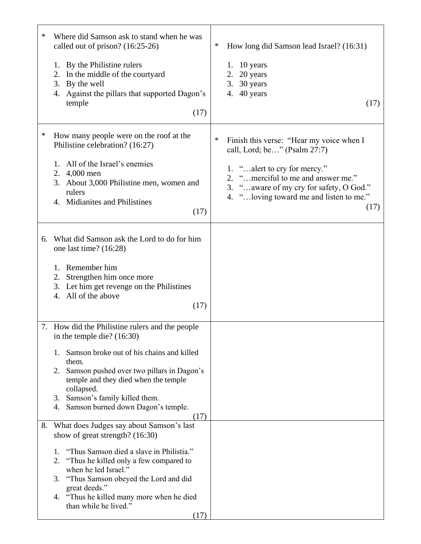| ∗ | Where did Samson ask to stand when he was<br>called out of prison? (16:25-26)<br>By the Philistine rulers<br>1.<br>In the middle of the courtyard<br>2.<br>3.<br>By the well<br>Against the pillars that supported Dagon's<br>4.<br>temple<br>(17)                                                                                                        | $\ast$<br>How long did Samson lead Israel? (16:31)<br>1. $10$ years<br>20 years<br>2.<br>3. 30 years<br>40 years<br>4.<br>(17)                                                                                                                      |
|---|-----------------------------------------------------------------------------------------------------------------------------------------------------------------------------------------------------------------------------------------------------------------------------------------------------------------------------------------------------------|-----------------------------------------------------------------------------------------------------------------------------------------------------------------------------------------------------------------------------------------------------|
| ∗ | How many people were on the roof at the<br>Philistine celebration? (16:27)<br>All of the Israel's enemies<br>1.<br>4,000 men<br>2.<br>3. About 3,000 Philistine men, women and<br>rulers<br>4. Midianites and Philistines<br>(17)                                                                                                                         | ∗<br>Finish this verse: "Hear my voice when I<br>call, Lord; be" (Psalm 27:7)<br>1. "alert to cry for mercy."<br>2. "merciful to me and answer me."<br>3. " aware of my cry for safety, O God."<br>4. " loving toward me and listen to me."<br>(17) |
|   | 6. What did Samson ask the Lord to do for him<br>one last time? (16:28)<br>1. Remember him<br>Strengthen him once more<br>2.<br>3. Let him get revenge on the Philistines<br>All of the above<br>4.<br>(17)                                                                                                                                               |                                                                                                                                                                                                                                                     |
|   | 7. How did the Philistine rulers and the people<br>in the temple die? $(16:30)$<br>Samson broke out of his chains and killed<br>1.<br>them.<br>Samson pushed over two pillars in Dagon's<br>2.<br>temple and they died when the temple<br>collapsed.<br>Samson's family killed them.<br>3.<br>Samson burned down Dagon's temple.<br>4.<br>(17)            |                                                                                                                                                                                                                                                     |
|   | 8. What does Judges say about Samson's last<br>show of great strength? (16:30)<br>"Thus Samson died a slave in Philistia."<br>1.<br>2.<br>"Thus he killed only a few compared to"<br>when he led Israel."<br>"Thus Samson obeyed the Lord and did<br>3.<br>great deeds."<br>"Thus he killed many more when he died<br>4.<br>than while he lived."<br>(17) |                                                                                                                                                                                                                                                     |